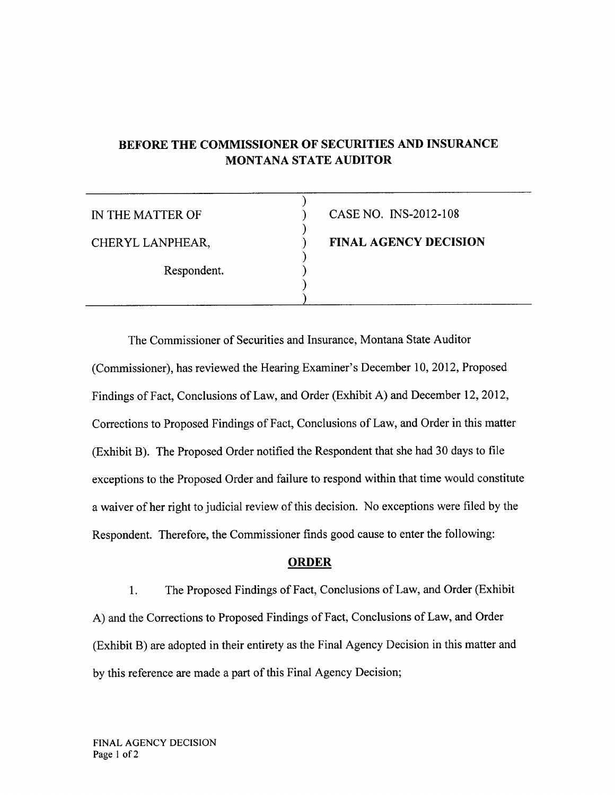# BEFORE THE COMMISSIONER OF SECURITIES AND INSURANCE MONTANA STATE AUDITOR

| IN THE MATTER OF | CASE NO. INS-2012-108        |
|------------------|------------------------------|
| CHERYL LANPHEAR, | <b>FINAL AGENCY DECISION</b> |
| Respondent.      |                              |
|                  |                              |

The Commissioner of Securities and Insurance, Montana State Auditor (Commissioner), has reviewed the Hearing Examiner's December 10,2012, Proposed Findings of Fact, Conclusions of Law, and Order (Exhibit A) and December 12,2012, Corrections to Proposed Findings of Fact, Conclusions of Law, and Order in this matter (Exhibit B). The Proposed Order notified the Respondent that she had 30 days to file exceptions to the Proposed Order and failure to respond within that time would constitute <sup>a</sup>waiver of her right to judicial review of this decision. No exceptions were frled by the Respondent. Therefore, the Commissioner finds good cause to enter the following:

## ORDER

1. The Proposed Findings of Fact, Conclusions of Law, and Order (Exhibit A) and the Corrections to Proposed Findings of Fact, Conclusions of Law, and Order (Exhibit B) are adopted in their entirety as the Final Agency Decision in this matter and by this reference are made a part of this Final Agency Decision;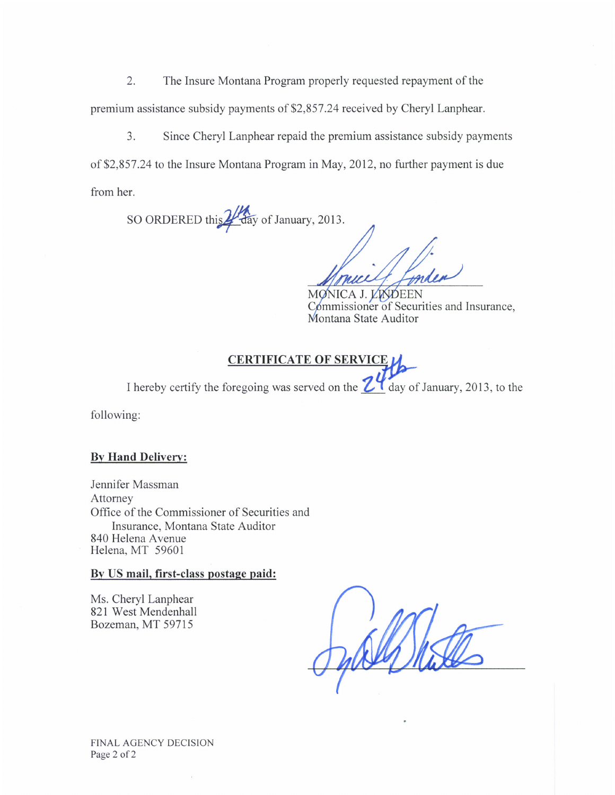2. The Insure Montana Program properly requested repayment of the premium assistance subsidy payments of \$2,857.24 received by Cheryl Lanphear.

3. Since Cheryl Lanphear repaid the premium assistance subsidy payments of \$2,857.24 to the Insure Montana Program in May, 2012, no further payment is due from her.

SO ORDERED this day of January, 2013.

MONICA J. LAVDEEN Commissioner of Securities and Insurance, Montana State Auditor

## **CERTIFICATE OF SERVIC**

I hereby certify the foregoing was served on the  $\mathbb{Z}^4$  day of January, 2013, to the

following:

#### **By Hand Delivery:**

Jennifer Massman Attorney Office of the Commissioner of Securities and Insurance, Montana State Auditor 840 Helena Avenue Helena, MT 59601

#### By US mail, first-class postage paid:

Ms. Cheryl Lanphear 821 West Mendenhall Bozeman, MT 59715

**FINAL AGENCY DECISION** Page 2 of 2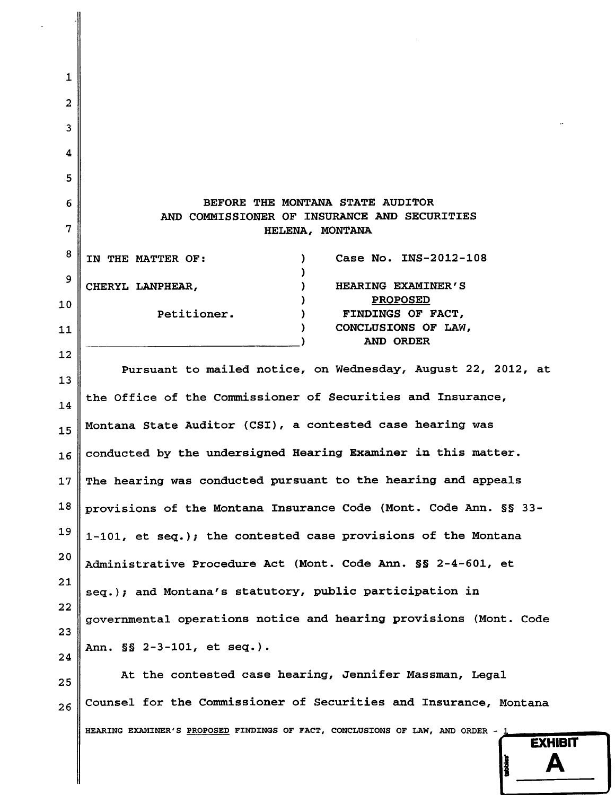# BEFORE THE MONTANA STATE AUDITOR AND COMMISSIONER OF INSURANCE AND SECURITIES HELENA, MONTANA

| ŏΠ | IN THE MATTER OF: | Case No. INS-2012-108      |
|----|-------------------|----------------------------|
| 9  |                   |                            |
|    | CHERYL LANPHEAR,  | HEARING EXAMINER'S         |
| 10 |                   | <b>PROPOSED</b>            |
|    | Petitioner.       | FINDINGS OF FACT,          |
| 11 |                   | CONCLUSIONS OF LAW,        |
|    |                   | <b>ORDER</b><br><b>AND</b> |

 $\mathbf{1}$ 

2

3

4

5

6

7

 $\mathbf{R}$ 

12

Pursuant to mailed notice, on Wednesday, August 22, 2012, at 13 the Office of the Commissioner of Securities and Insurance, 14 Montana State Auditor (CSI), a contested case hearing was 15 conducted by the undersigned Hearing Examiner in this matter.  $16$ The hearing was conducted pursuant to the hearing and appeals 17 provisions of the Montana Insurance Code (Mont. Code Ann. §§ 33-18 19 1-101, et seq.); the contested case provisions of the Montana  $20$ Administrative Procedure Act (Mont. Code Ann. §§ 2-4-601, et  $21$ seq.); and Montana's statutory, public participation in 22 governmental operations notice and hearing provisions (Mont. Code 23 Ann. §§ 2-3-101, et seq.). 24

At the contested case hearing, Jennifer Massman, Legal 25 Counsel for the Commissioner of Securities and Insurance, Montana  $26$ HEARING EXAMINER'S PROPOSED FINDINGS OF FACT, CONCLUSIONS OF LAW, AND ORDER -

**EXHIBIT** 

Δ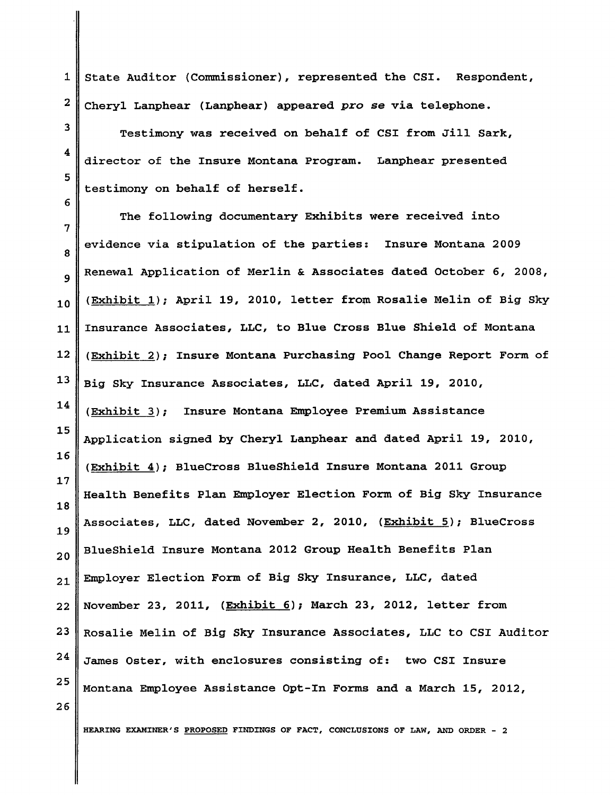1 2 State Auditor (Commissioner), represented the CSI. Respondent, Cheryl Lanphear (Lanphear) appeared pro se via telephone.

Testimony was received on behalf of CSI from Jill Sark, director of the Insure Montana Program. Lanphear presented testimony on behalf of herself.

7 I 9 10 11 L2 13 14 15 16 L7 18 19 20 2L 22 23 24 25 The following documentary Exhibits were received into evidence via stipulation of the parties: Insure Montana <sup>2009</sup> Renewal Application of Merlin & Associates dated October 6, 2008, (Exhibit 1); April 19, 2010, letter from Rosalie Melin of Big Sky Insurance Associates, LLC, to Blue Cross Blue Shield of Montana (Exhibit 2); Insure Montana Purchasing Pool Change Report Form of Big Sky Insurance Associates, LLC, dated April 19, 2010, (Exhibit 3); Insure Montana Employee Premium Assistance Application signed by Cheryl Lanphear and dated April 19, 2010, (Exhibit 4); BlueCross BlueShield Insure Montana 2011 Group HeaLth Benefits Plan Employer ELection Form of Big Sky Insurance Associates, LLC, dated November 2, 2010, (Exhibit 5); BlueCross BlueShield Insure Montana 2012 Group Health Benefits Plan Employer Election Form of Big Sky Insurance, LLC, dated November 23, 2011, (Exhibit 6); March 23, 2012, letter from Rosalie Melin of Big Sky Insurance Associates, LLC to CSI Auditor Janes Oster, with enclosures consisting of: two CSI Insure Montana Hnployee Assistance Opt-fn Forms and a March 15, 2OL2,

26

3

4

5

6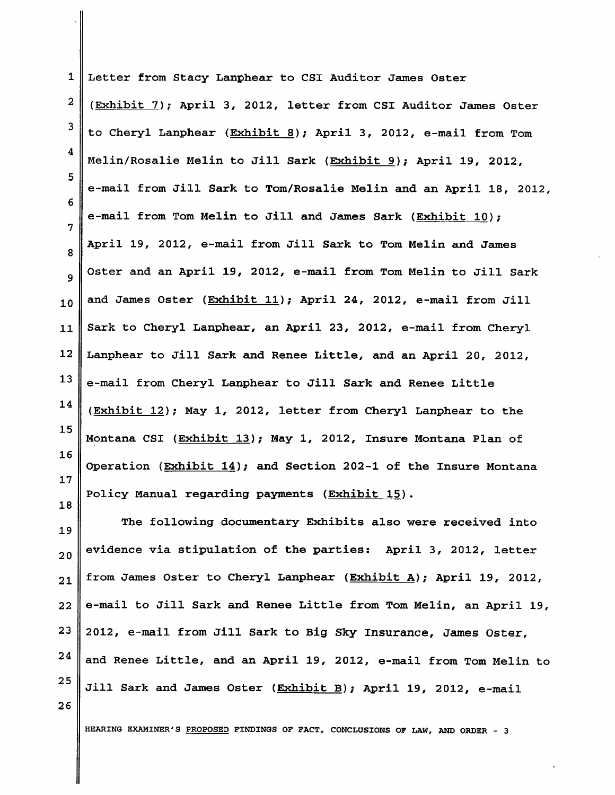1 2 3 4 5 5 7 8 9 10 11 L2 13 L4 15 15 I7 18 Letter from Stacy Lanphear to CSI Auditor James Oster (Exhibit 7); April 3, 2012, letter from CSI Auditor James Oster to Cheryl Lanphear (Exhibit 8); April 3, 2012, e-mail from Tom Melin/Rosalie Melin to Jill Sark (Exhibit 9); April 19, 2012, e-mail from Jill Sark to Tom/Rosalie Melin and an April 18, 2012, e-mail from Tom Melin to Jill and James Sark (Exhibit 10); April 19, 2012, e-mail from Jill Sark to Tom Melin and James Oster and an April 19, 2012, e-mail from Tom Melin to Jill Sark and James Oster (Exhibit 11); April 24, 2012, e-mail from Jill Sark to Cheryl Lanphear, an April 23, 2012, e-mail from Cheryl Lanphear to Jill Sark and Renee Little, and an April 20, 2012, e-mail from Cheryl Lanphear to Jill Sark and Renee Little (Exhibit 12); May 1, 2012, letter from Cheryl- Lanphear to the Montana CSI (Exhibit 13); May 1, 2012, Insure Montana Plan of Operation (Exhibit  $14$ ); and Section 202-1 of the Insure Montana Policy Manual regarding payments (Exhibit 15).

19 20 2L 22 23 24 25 The following documentary Exhibits also were received into evidence via stipulation of the parties: April 3, 2012, letter from James Oster to Cheryl Lanphear (Exhibit A); April 19, 2012, e-mail to Jill Sark and Renee Little from Tom Melin, an April 19, 2012, e-mail from Jill Sark to Big Sky Insurance, James Oster, and Renee Little, and an April 19, 2012, e-mail from Tom Melin to Jill Sark and James Oster (Exhibit B); April 19, 2012, e-mail

26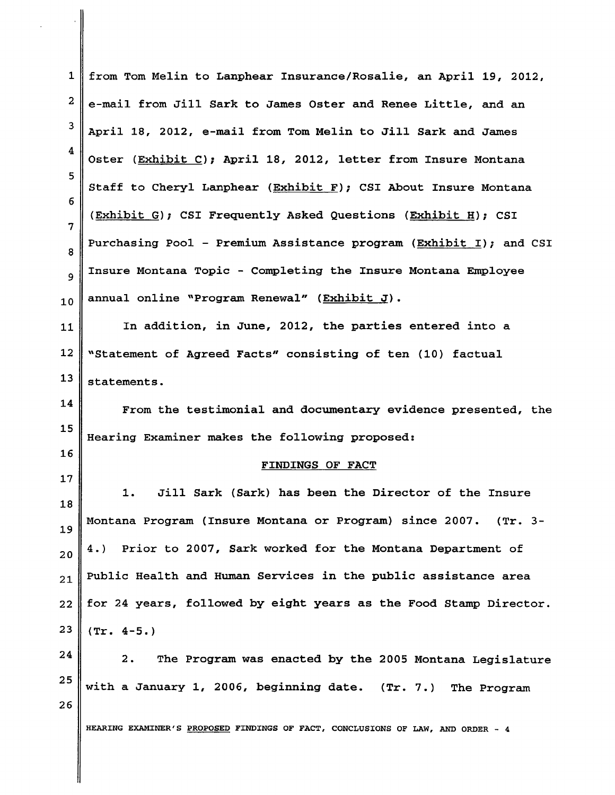| $\mathbf{1}$   | from Tom Melin to Lanphear Insurance/Rosalie, an April 19, 2012,                |
|----------------|---------------------------------------------------------------------------------|
| $\mathbf{2}$   | e-mail from Jill Sark to James Oster and Renee Little, and an                   |
| 3              | April 18, 2012, e-mail from Tom Melin to Jill Sark and James                    |
| 4              | Oster (Exhibit C); April 18, 2012, letter from Insure Montana                   |
| 5              | Staff to Cheryl Lanphear (Exhibit F); CSI About Insure Montana                  |
| 6              | (Exhibit G); CSI Frequently Asked Questions (Exhibit H); CSI                    |
| $\overline{7}$ | Purchasing Pool - Premium Assistance program (Exhibit I); and CSI               |
| 8              | Insure Montana Topic - Completing the Insure Montana Employee                   |
| 9              |                                                                                 |
| 10             | annual online "Program Renewal" (Exhibit J).                                    |
| 11             | In addition, in June, 2012, the parties entered into a                          |
| 12             | "Statement of Agreed Facts" consisting of ten (10) factual                      |
| 13             | statements.                                                                     |
| 14             | From the testimonial and documentary evidence presented, the                    |
| 15             | Hearing Examiner makes the following proposed:                                  |
| 16             | FINDINGS OF FACT                                                                |
|                |                                                                                 |
| 17             | Jill Sark (Sark) has been the Director of the Insure<br>1.                      |
| 18             | Montana Program (Insure Montana or Program) since 2007.<br>$(\text{Tr. } 3 -$   |
| 19             | Prior to 2007, Sark worked for the Montana Department of<br>4.)                 |
| 20             | Public Health and Human Services in the public assistance area                  |
| 21             | for 24 years, followed by eight years as the Food Stamp Director.               |
| 22             |                                                                                 |
| 23             | $(Tr. 4-5.)$                                                                    |
| 24<br>25       | The Program was enacted by the 2005 Montana Legislature<br>2.                   |
|                | with a January 1, 2006, beginning date. (Tr. 7.) The Program                    |
| 26             | HEARING EXAMINER'S PROPOSED FINDINGS OF FACT, CONCLUSIONS OF LAW, AND ORDER - 4 |

 $\overline{G}$  .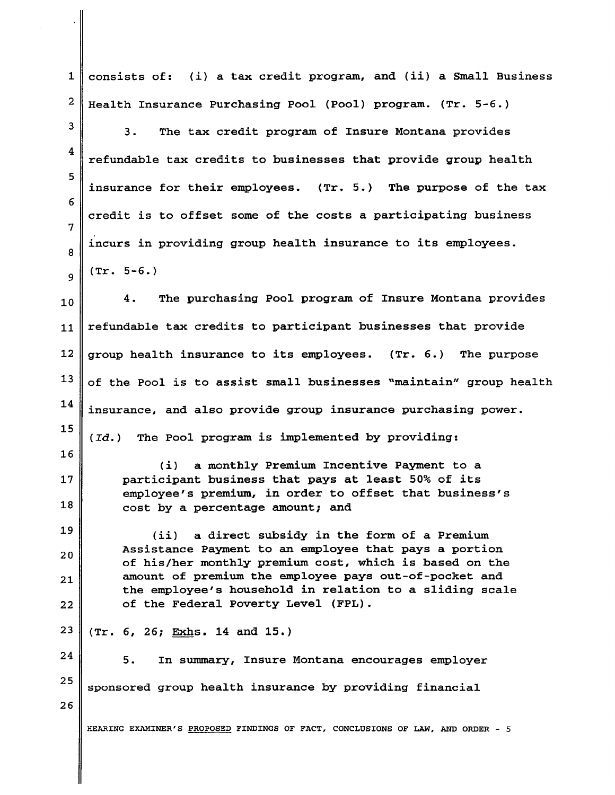$\mathbf 1$ 2 3 4 5 6 7 8 9 10 11 L2 13 L4 15 15 17 18 19 20 2L 22 23 24 2s 26 consists of: (i) a tax credit program, and (ii) a Small Business HeaLth Insurance Purchasing Pool (Pool) program. (Tr. 5-6.) 3. The tax credit program of Insure Montana provides refundable tax credits to businesses that provide group health insurance for their empLoyees. (Tr. 5.) The purpose of the tax credit is to offset some of the costs a participating business incurs in providing group heaLth insurance to its employees. (Tr. 5-6. ) 4. The purchasing Pool program of fnsure Montana provides refundable tax credits to participant businesses that provide group health insurance to its empLoyees. (Tr. 6.) The purpose of the PooI is to assist smaLl businesses "maintain" group health insurance, and also provide group insurance purchasing power.  $(d.d.)$  The Pool program is implemented by providing: (i) a monthly Premium Incentive Payment to a participant business that pays at least 50% of its employee's premium, in order to offset that business's cost by a percentage amount; and (ii) a direct subsidy in the form of a Premium Assistance Payment to an employee that pays a portion of his/her monthly premium cost, which is based on the amount of premium the employee pays out-of-pocket and the empLoyee's household in relation to a sliding scale of the FederaL Poverty Level (FPL). (Tr. 6, 26; Exhs. 14 and 15.) 5. In summary, Insure Montana encourages employer sponsored group health insurance by providing financial HEARING EXAMINER'S PROPOSED FINDINGS OF FACT, CONCLUSIONS OF LAW, AND ORDER - 5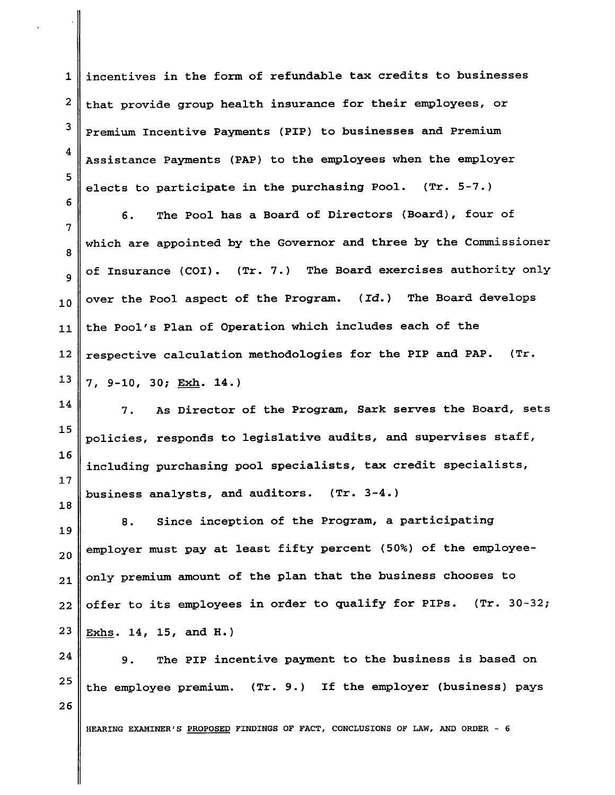$\mathbf 1$ 2 3 4 5 incentives in the form of refundabLe tax credits to businesses that provide group health insurance for their employees, or Premium Incentive Payments (PIP) to businesses and Premium Assistance Payments (PAP) to the employees when the employer elects to participate in the purchasing Pool.  $(Tr. 5-7.)$ 

5

18

7 8 9 10 11  $12$ 13 5. The Pool- has a Board of Directors (Board), four of which are appointed by the Governor and three by the Commissioner of Insurance (COI). (Tr. 7.) The Board exercises authority only over the Pool aspect of the Program. (Id.) The Board develops the Pool's Plan of Operation which incLudes each of the respective calcuLation methodoLogies for the PIP and PAP. (Tr. 7, 9-10, 30; Exh. L4.\

14 15 L6 17 7. As Director of the Program, Sark serves the Board, sets policies, responds to legislative audits, and supervises staff, incLuding purchasing pool speciaLists, tax credit specialists, business analysts, and auditors. (Tr. 3-4-)

19 20 2L 22 23 8. Since inception of the Program, a participating employer must pay at least fifty percent (50%) of the employeeonly premium amount of the plan that the business chooses to offer to its employees in order to qualify for PIPs.  $(Tr. 30-32)$ Exhs. L4, 15, and H. )

24 25 26 9. The PIP incentive payment to the business is based on the employee premium. (Tr. 9.) If the employer (business) pays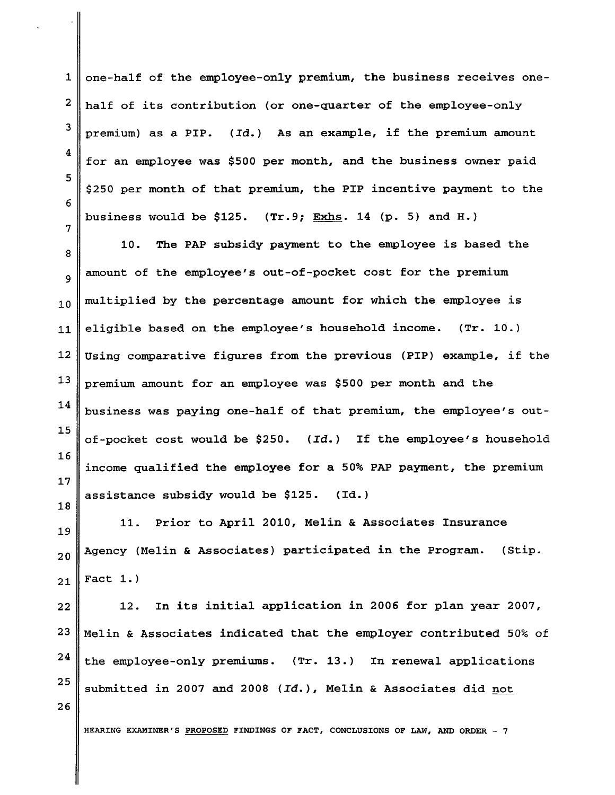L 2 3 4 5 6 one-half of the employee-only premium, the business receives onehalf of its contribution (or one-quarter of the employee-only premium) as a PIP.  $(\text{Id.})$  As an example, if the premium amount for an employee was \$500 per month, and the business owner paid 5250 per month of that premium, the PIP incentive payment to the business would be \$125.  $(Tr.9; Exhs. 14 (p. 5)$  and H.)

8 9 10 11 13 L4 15 L6 L7 18 10. The PAP subsidy payment to the employee is based the amount of the employee's out-of-pocket cost for the premium multiplied by the percentage amount for which the employee is eligible based on the employee's household income. (Tr. 10.) Using comparative figures from the previous (PIP) example, if the premium amount for an empLoyee was \$500 per month and the business was paying one-half of that premium, the employee's outof-pocket cost would be \$250.  $(\text{Id.})$  If the employee's household income qualified the employee for a 50% PAP payment, the premium assistance subsidy would be  $$125.$  (Id.)

19 20 2L 11. Prior to April 2010, MeLin & Associates Insurance Agency (Melin & Associates) participated in the Program. (Stip. Fact  $1.$ )

22 23 24 25 !2. tn its initiaL application in 2005 for plan year 2007, Melin & Associates indicated that the employer contributed 50% of the employee-only premiums. (Tr. 13.) In renewal applications submitted in 2007 and 2008 ( $Id.$  ), Melin & Associates did not

HEARING EXAMINER'S PROPOSED FINDINGS OF FACT, CONCLUSIONS OF LAW, AND ORDER - 7

12

26

7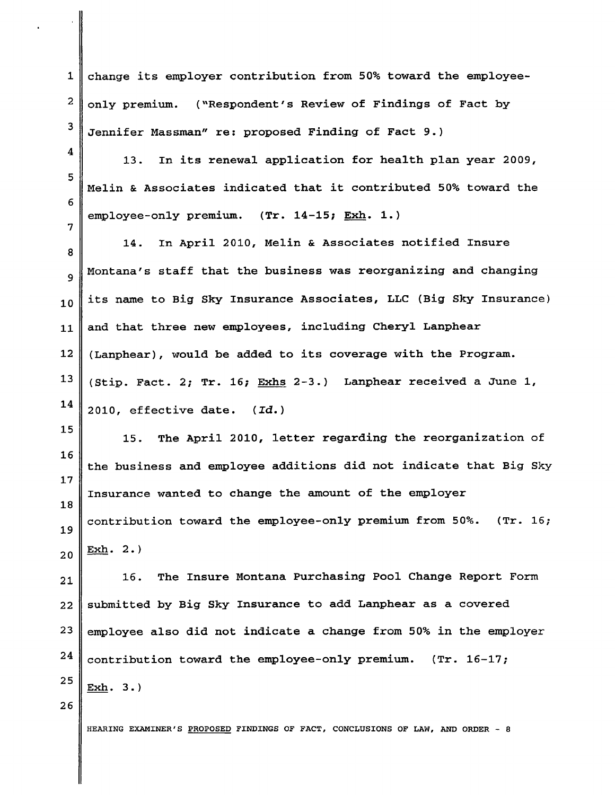change its employer contribution from 50% toward the employeeonly premium. ("Respondent's Review of Findings of Fact by Jennifer Massman" re: proposed Finding of Fact 9.)

13. In its renewal application for health plan year 2009, Melin & Associates indicated that it contributed 50% toward the employee-only premium. (Tr. 14-15; Exh. 1.)

8 9 10 11 12 13 L4 L4. In April- 2010, Melin & Associates notified Insure Montana's staff that the business was reorganizing and changing its name to Big Sky Insurance Associates, LLC (Big Sky Insurance) and that three new employees, including Cheryl Lanphear (Lanphear), would be added to its coverage with the Program. (Stip. Fact. 2; Tr. 16; Exhs 2-3.) Lanphear received a June 1, 2010, effective date. (Id.)

15 L6 L7 18 19 20 15. The ApriL 20LO, letter regarding the reorganization of the business and employee additions did not indicate that Big Sky Insurance wanted to change the amount of the employer contribution toward the employee-only premium from 50%. (Tr. 16;  $Exh. 2.$ 

2L 22 23 24 25 15. The Insure Montana Purchasing PooJ- Change Report Form submitted by Big Sky Insurance to add Lanphear as a covered employee also did not indicate a change from 50% in the employer contribution toward the employee-only premium.  $(Tr. 16-17)$ Exh. 3. )

26

1

2

3

4

5

6

7